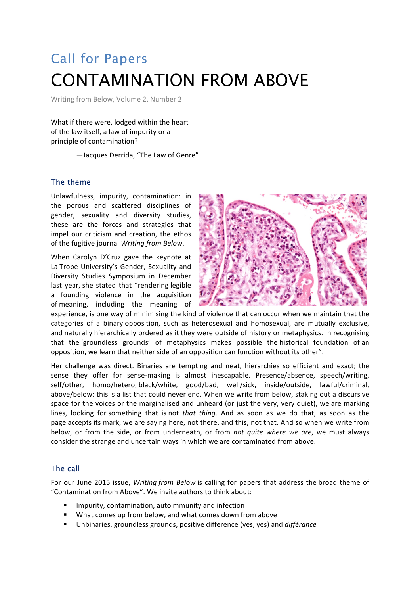# Call for Papers CONTAMINATION FROM ABOVE

Writing from Below, Volume 2, Number 2

What if there were, lodged within the heart of the law itself, a law of impurity or a principle of contamination?

-Jacques Derrida, "The Law of Genre"

## The theme

Unlawfulness, impurity, contamination: in the porous and scattered disciplines of gender, sexuality and diversity studies, these are the forces and strategies that impel our criticism and creation, the ethos of the fugitive journal *Writing from Below*.

When Carolyn D'Cruz gave the keynote at La Trobe University's Gender, Sexuality and Diversity Studies Symposium in December last year, she stated that "rendering legible a founding violence in the acquisition of meaning, including the meaning of



experience, is one way of minimising the kind of violence that can occur when we maintain that the categories of a binary opposition, such as heterosexual and homosexual, are mutually exclusive, and naturally hierarchically ordered as it they were outside of history or metaphysics. In recognising that the 'groundless grounds' of metaphysics makes possible the historical foundation of an opposition, we learn that neither side of an opposition can function without its other".

Her challenge was direct. Binaries are tempting and neat, hierarchies so efficient and exact; the sense they offer for sense-making is almost inescapable. Presence/absence, speech/writing, self/other, homo/hetero, black/white, good/bad, well/sick, inside/outside, lawful/criminal, above/below: this is a list that could never end. When we write from below, staking out a discursive space for the voices or the marginalised and unheard (or just the very, very quiet), we are marking lines, looking for something that is not *that thing*. And as soon as we do that, as soon as the page accepts its mark, we are saying here, not there, and this, not that. And so when we write from below, or from the side, or from underneath, or from *not quite where we are*, we must always consider the strange and uncertain ways in which we are contaminated from above.

### The call

For our June 2015 issue, *Writing from Below* is calling for papers that address the broad theme of "Contamination from Above". We invite authors to think about:

- Impurity, contamination, autoimmunity and infection
- What comes up from below, and what comes down from above
- Unbinaries, groundless grounds, positive difference (yes, yes) and *différance*